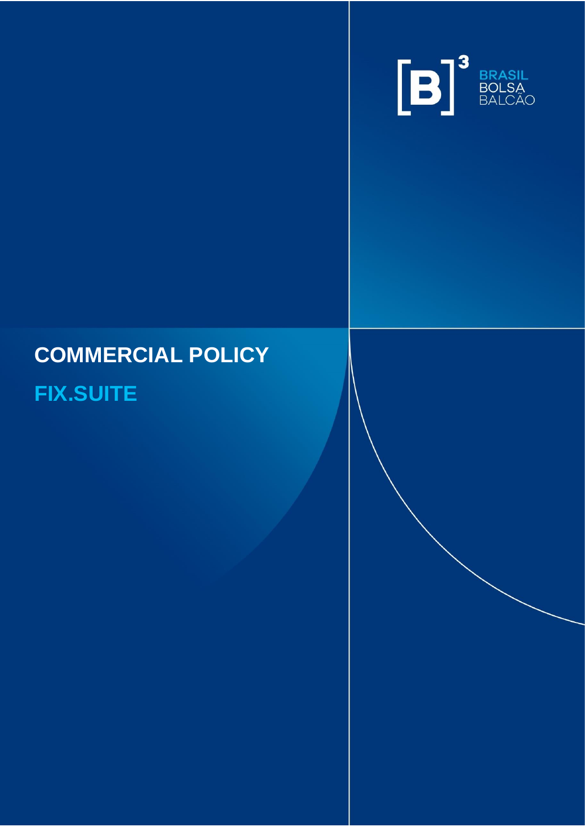

# **COMMERCIAL POLICY**

INFORMAÇÃO PÚBLICA – PUBLIC INFORMATION

# **FIX.SUITE**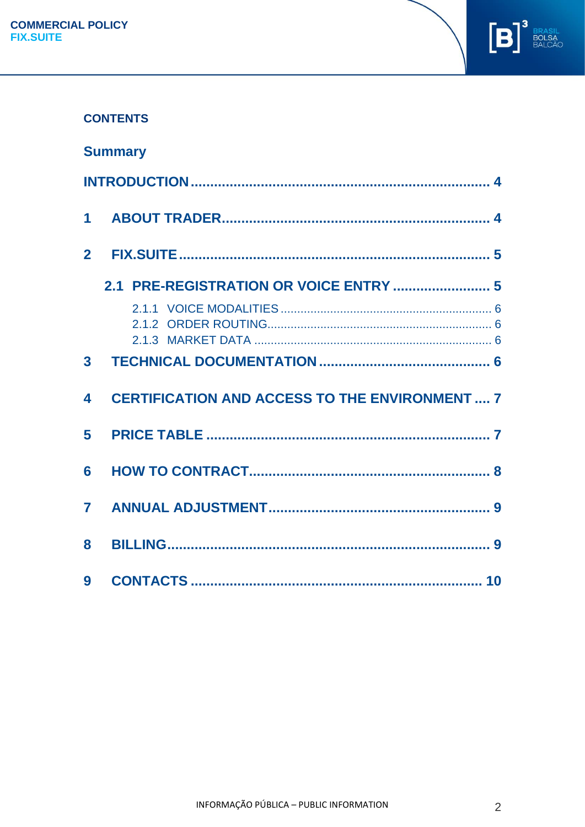

# **CONTENTS**

|                | <b>Summary</b>                                        |
|----------------|-------------------------------------------------------|
|                |                                                       |
| $\mathbf 1$    |                                                       |
| 2 <sup>1</sup> |                                                       |
|                | 2.1 PRE-REGISTRATION OR VOICE ENTRY  5                |
|                |                                                       |
| 3 <sup>1</sup> |                                                       |
|                |                                                       |
| 4              | <b>CERTIFICATION AND ACCESS TO THE ENVIRONMENT  7</b> |
| 5              |                                                       |
| 6              |                                                       |
| $\overline{7}$ |                                                       |
| 8              |                                                       |
| 9              |                                                       |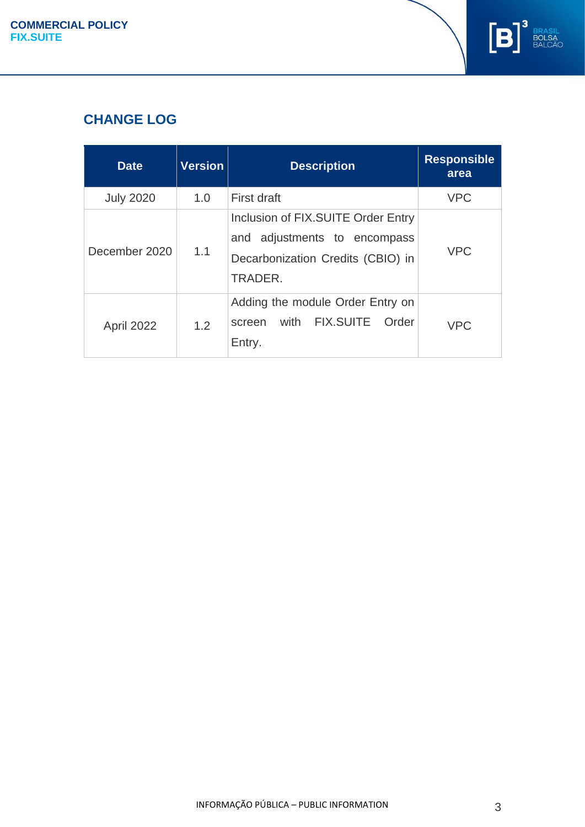

# **CHANGE LOG**

| <b>Date</b>      | <b>Version</b> | <b>Description</b>                                                                                                    | <b>Responsible</b><br>area |
|------------------|----------------|-----------------------------------------------------------------------------------------------------------------------|----------------------------|
| <b>July 2020</b> | 1.0            | First draft                                                                                                           | <b>VPC</b>                 |
| December 2020    | 1.1            | Inclusion of FIX.SUITE Order Entry<br>adjustments to encompass<br>and<br>Decarbonization Credits (CBIO) in<br>TRADER. | <b>VPC</b>                 |
| April 2022       | 1.2            | Adding the module Order Entry on<br>with FIX.SUITE<br>Order<br>screen<br>Entry.                                       | <b>VPC</b>                 |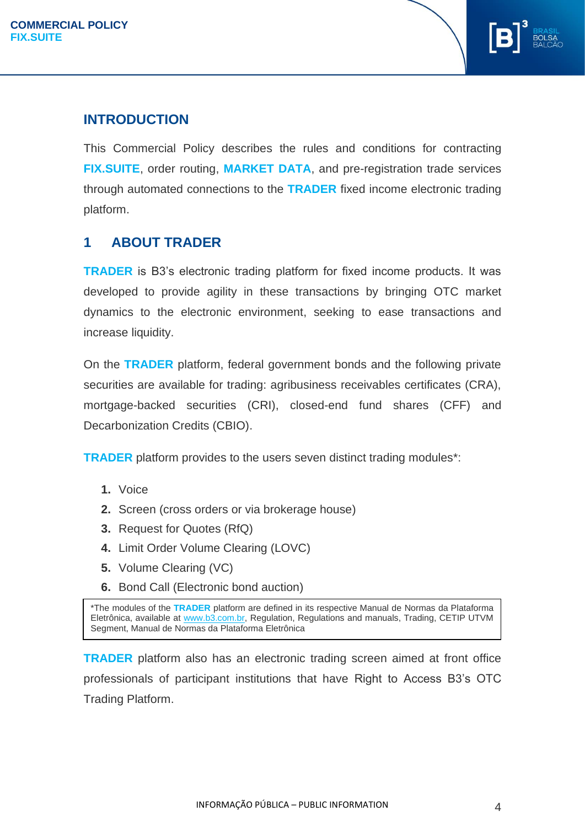

# <span id="page-3-0"></span>**INTRODUCTION**

This Commercial Policy describes the rules and conditions for contracting **FIX.SUITE**, order routing, **MARKET DATA**, and pre-registration trade services through automated connections to the **TRADER** fixed income electronic trading platform.

# <span id="page-3-1"></span>**1 ABOUT TRADER**

**TRADER** is B3's electronic trading platform for fixed income products. It was developed to provide agility in these transactions by bringing OTC market dynamics to the electronic environment, seeking to ease transactions and increase liquidity.

On the **TRADER** platform, federal government bonds and the following private securities are available for trading: agribusiness receivables certificates (CRA), mortgage-backed securities (CRI), closed-end fund shares (CFF) and Decarbonization Credits (CBIO).

**TRADER** platform provides to the users seven distinct trading modules\*:

- **1.** Voice
- **2.** Screen (cross orders or via brokerage house)
- **3.** Request for Quotes (RfQ)
- **4.** Limit Order Volume Clearing (LOVC)
- **5.** Volume Clearing (VC)
- **6.** Bond Call (Electronic bond auction)

\*The modules of the **TRADER** platform are defined in its respective Manual de Normas da Plataforma Eletrônica, available at [www.b3.com.br,](http://www.b3.com.br/) Regulation, Regulations and manuals, Trading, CETIP UTVM Segment, Manual de Normas da Plataforma Eletrônica

**TRADER** platform also has an electronic trading screen aimed at front office professionals of participant institutions that have Right to Access B3's OTC Trading Platform.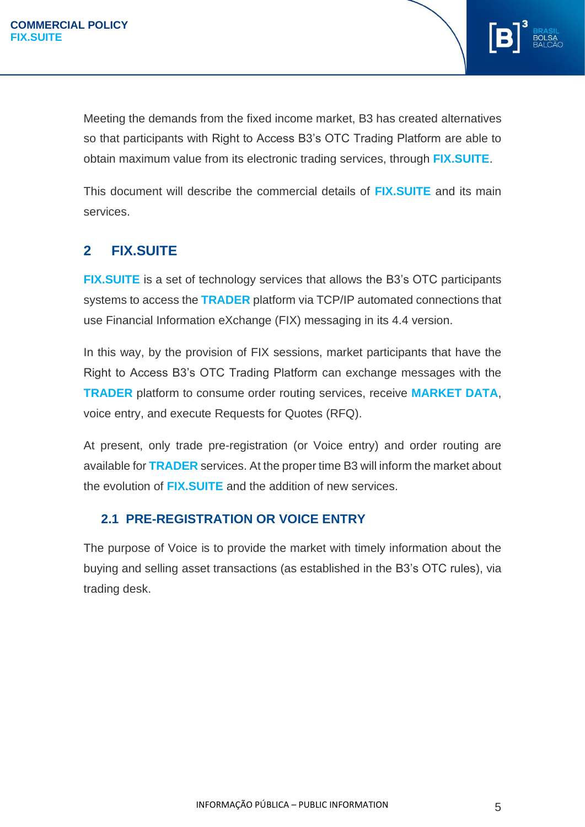

Meeting the demands from the fixed income market, B3 has created alternatives so that participants with Right to Access B3's OTC Trading Platform are able to obtain maximum value from its electronic trading services, through **FIX.SUITE**.

This document will describe the commercial details of **FIX.SUITE** and its main services.

# <span id="page-4-0"></span>**2 FIX.SUITE**

**FIX.SUITE** is a set of technology services that allows the B3's OTC participants systems to access the **TRADER** platform via TCP/IP automated connections that use Financial Information eXchange (FIX) messaging in its 4.4 version.

In this way, by the provision of FIX sessions, market participants that have the Right to Access B3's OTC Trading Platform can exchange messages with the **TRADER** platform to consume order routing services, receive **MARKET DATA**, voice entry, and execute Requests for Quotes (RFQ).

At present, only trade pre-registration (or Voice entry) and order routing are available for **TRADER** services. At the proper time B3 will inform the market about the evolution of **FIX.SUITE** and the addition of new services.

### <span id="page-4-1"></span>**2.1 PRE-REGISTRATION OR VOICE ENTRY**

The purpose of Voice is to provide the market with timely information about the buying and selling asset transactions (as established in the B3's OTC rules), via trading desk.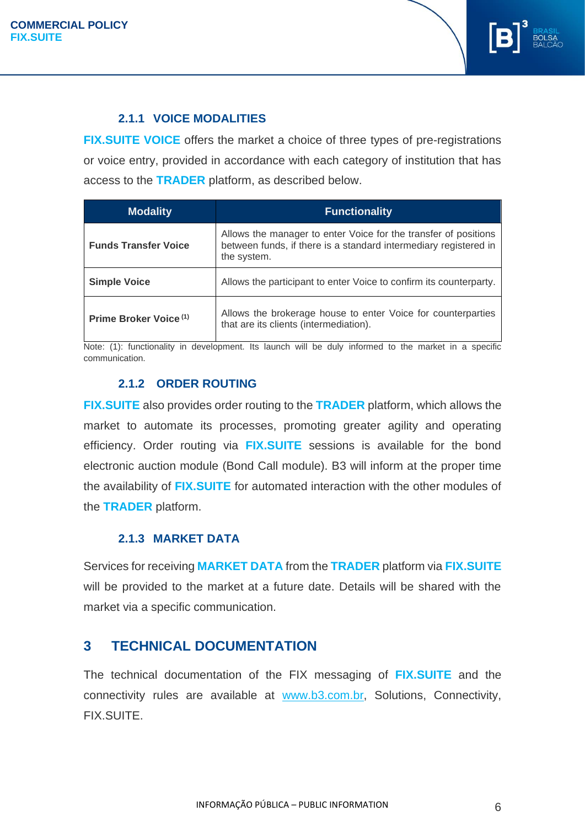

#### **2.1.1 VOICE MODALITIES**

<span id="page-5-0"></span>**FIX.SUITE VOICE** offers the market a choice of three types of pre-registrations or voice entry, provided in accordance with each category of institution that has access to the **TRADER** platform, as described below.

| <b>Modality</b>                   | <b>Functionality</b>                                                                                                                               |  |  |
|-----------------------------------|----------------------------------------------------------------------------------------------------------------------------------------------------|--|--|
| <b>Funds Transfer Voice</b>       | Allows the manager to enter Voice for the transfer of positions<br>between funds, if there is a standard intermediary registered in<br>the system. |  |  |
| <b>Simple Voice</b>               | Allows the participant to enter Voice to confirm its counterparty.                                                                                 |  |  |
| Prime Broker Voice <sup>(1)</sup> | Allows the brokerage house to enter Voice for counterparties<br>that are its clients (intermediation).                                             |  |  |

Note: (1): functionality in development. Its launch will be duly informed to the market in a specific communication.

#### <span id="page-5-1"></span>**2.1.2 ORDER ROUTING**

**FIX.SUITE** also provides order routing to the **TRADER** platform, which allows the market to automate its processes, promoting greater agility and operating efficiency. Order routing via **FIX.SUITE** sessions is available for the bond electronic auction module (Bond Call module). B3 will inform at the proper time the availability of **FIX.SUITE** for automated interaction with the other modules of the **TRADER** platform.

#### **2.1.3 MARKET DATA**

<span id="page-5-2"></span>Services for receiving **MARKET DATA** from the **TRADER** platform via **FIX.SUITE** will be provided to the market at a future date. Details will be shared with the market via a specific communication.

### <span id="page-5-3"></span>**3 TECHNICAL DOCUMENTATION**

The technical documentation of the FIX messaging of **FIX.SUITE** and the connectivity rules are available at [www.b3.com.br,](http://www.b3.com.br/) Solutions, Connectivity, FIX.SUITE.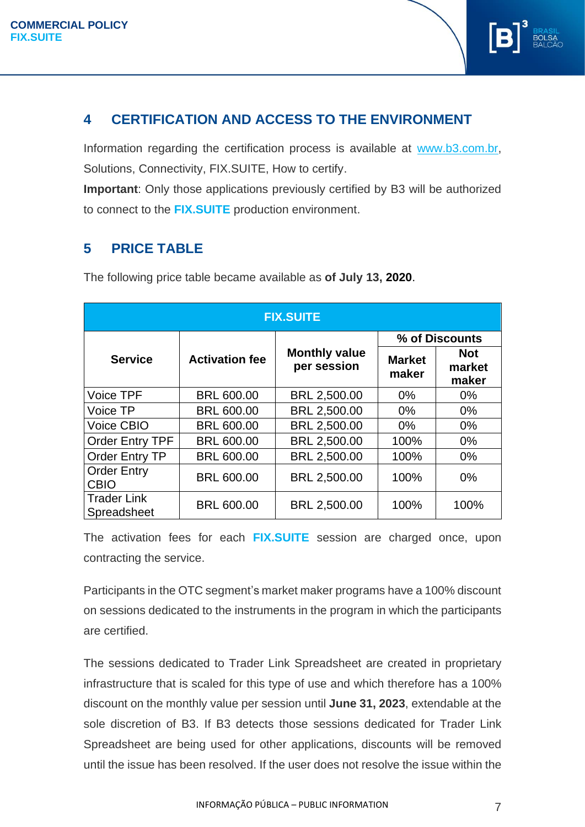

# <span id="page-6-0"></span>**4 CERTIFICATION AND ACCESS TO THE ENVIRONMENT**

Information regarding the certification process is available at [www.b3.com.br,](file://///nascorusr/Shares/Intra_Superintendencias/58/Sup.%20de%20Produtos%20de%20Front%20e%20Middle/TRADER/2020%20-%20Melhorias%20Trader/FIX.SUITE/Política%20Comercial/Somente%20Voice/www.b3.com.br) Solutions, Connectivity, FIX.SUITE, How to certify.

**Important**: Only those applications previously certified by B3 will be authorized to connect to the **FIX.SUITE** production environment.

# <span id="page-6-1"></span>**5 PRICE TABLE**

| <b>FIX.SUITE</b>                  |                       |                                     |                        |                               |  |  |  |  |
|-----------------------------------|-----------------------|-------------------------------------|------------------------|-------------------------------|--|--|--|--|
|                                   | <b>Activation fee</b> | <b>Monthly value</b><br>per session | % of Discounts         |                               |  |  |  |  |
| <b>Service</b>                    |                       |                                     | <b>Market</b><br>maker | <b>Not</b><br>market<br>maker |  |  |  |  |
| Voice TPF                         | <b>BRL 600.00</b>     | BRL 2,500.00                        | $0\%$                  | $0\%$                         |  |  |  |  |
| Voice TP                          | <b>BRL 600.00</b>     | BRL 2,500.00                        | $0\%$                  | $0\%$                         |  |  |  |  |
| <b>Voice CBIO</b>                 | <b>BRL 600.00</b>     | BRL 2,500.00                        | $0\%$                  | $0\%$                         |  |  |  |  |
| <b>Order Entry TPF</b>            | <b>BRL 600.00</b>     | BRL 2,500.00                        | 100%                   | $0\%$                         |  |  |  |  |
| Order Entry TP                    | <b>BRL 600.00</b>     | BRL 2,500.00                        | 100%                   | $0\%$                         |  |  |  |  |
| <b>Order Entry</b><br><b>CBIO</b> | <b>BRL 600.00</b>     | BRL 2,500.00                        | 100%                   | $0\%$                         |  |  |  |  |
| <b>Trader Link</b><br>Spreadsheet | <b>BRL 600.00</b>     | BRL 2,500.00                        | 100%                   | 100%                          |  |  |  |  |

The following price table became available as **of July 13, 2020**.

The activation fees for each **FIX.SUITE** session are charged once, upon contracting the service.

Participants in the OTC segment's market maker programs have a 100% discount on sessions dedicated to the instruments in the program in which the participants are certified.

The sessions dedicated to Trader Link Spreadsheet are created in proprietary infrastructure that is scaled for this type of use and which therefore has a 100% discount on the monthly value per session until **June 31, 2023**, extendable at the sole discretion of B3. If B3 detects those sessions dedicated for Trader Link Spreadsheet are being used for other applications, discounts will be removed until the issue has been resolved. If the user does not resolve the issue within the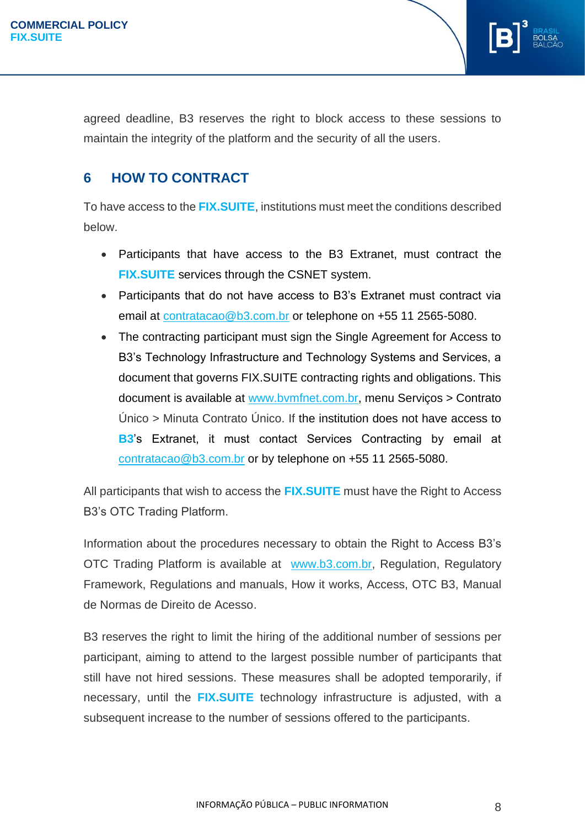

# <span id="page-7-0"></span>**6 HOW TO CONTRACT**

To have access to the **FIX.SUITE**, institutions must meet the conditions described below.

- Participants that have access to the B3 Extranet, must contract the **FIX.SUITE** services through the CSNET system.
- Participants that do not have access to B3's Extranet must contract via email at [contratacao@b3.com.br](mailto:contratacao@b3.com.br) or telephone on +55 11 2565-5080.
- The contracting participant must sign the Single Agreement for Access to B3's Technology Infrastructure and Technology Systems and Services, a document that governs FIX.SUITE contracting rights and obligations. This document is available at [www.bvmfnet.com.br,](http://www.bvmfnet.com.br/) menu Serviços > Contrato Único > Minuta Contrato Único. If the institution does not have access to **B3**'s Extranet, it must contact Services Contracting by email at [contratacao@b3.com.br](mailto:contratacao@b3.com.br) or by telephone on +55 11 2565-5080.

All participants that wish to access the **FIX.SUITE** must have the Right to Access B3's OTC Trading Platform.

Information about the procedures necessary to obtain the Right to Access B3's OTC Trading Platform is available at [www.b3.com.br,](http://www.b3.com.br/) Regulation, Regulatory Framework, Regulations and manuals, How it works, Access, OTC B3, Manual de Normas de Direito de Acesso.

B3 reserves the right to limit the hiring of the additional number of sessions per participant, aiming to attend to the largest possible number of participants that still have not hired sessions. These measures shall be adopted temporarily, if necessary, until the **FIX.SUITE** technology infrastructure is adjusted, with a subsequent increase to the number of sessions offered to the participants.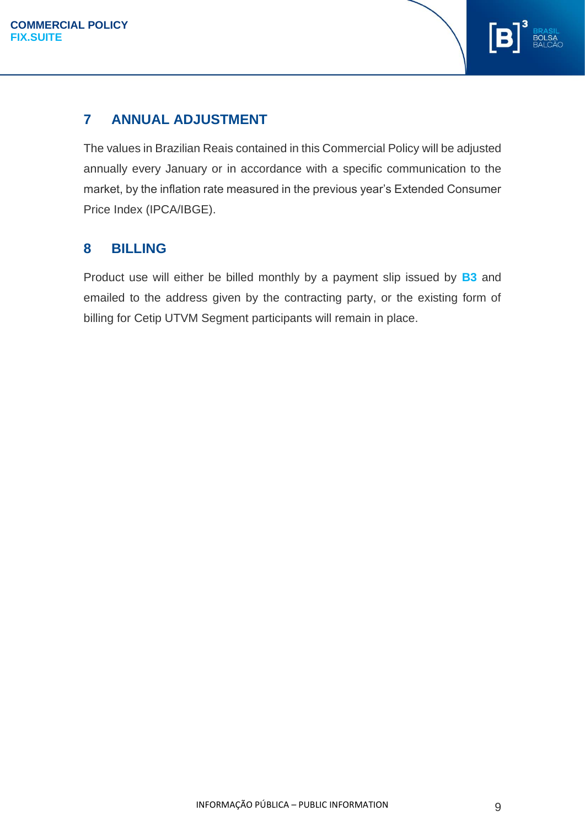

# <span id="page-8-0"></span>**7 ANNUAL ADJUSTMENT**

The values in Brazilian Reais contained in this Commercial Policy will be adjusted annually every January or in accordance with a specific communication to the market, by the inflation rate measured in the previous year's Extended Consumer Price Index (IPCA/IBGE).

# <span id="page-8-1"></span>**8 BILLING**

Product use will either be billed monthly by a payment slip issued by **B3** and emailed to the address given by the contracting party, or the existing form of billing for Cetip UTVM Segment participants will remain in place.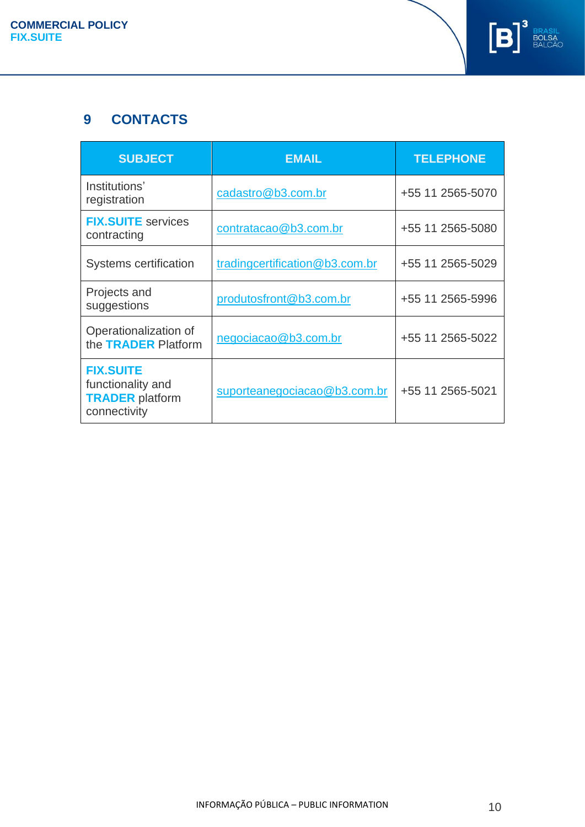

# <span id="page-9-0"></span>**9 CONTACTS**

| <b>SUBJECT</b>                                                                  | <b>EMAIL</b>                   | <b>TELEPHONE</b> |
|---------------------------------------------------------------------------------|--------------------------------|------------------|
| Institutions'<br>registration                                                   | cadastro@b3.com.br             | +55 11 2565-5070 |
| <b>FIX.SUITE</b> services<br>contracting                                        | contratacao@b3.com.br          | +55 11 2565-5080 |
| Systems certification                                                           | tradingcertification@b3.com.br | +55 11 2565-5029 |
| Projects and<br>suggestions                                                     | produtosfront@b3.com.br        | +55 11 2565-5996 |
| Operationalization of<br>the TRADER Platform                                    | negociacao@b3.com.br           | +55 11 2565-5022 |
| <b>FIX.SUITE</b><br>functionality and<br><b>TRADER</b> platform<br>connectivity | suporteanegociacao@b3.com.br   | +55 11 2565-5021 |